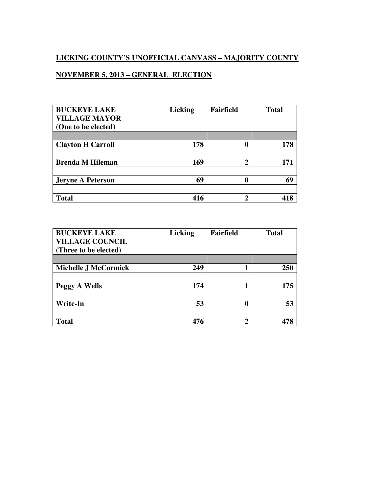## **LICKING COUNTY'S UNOFFICIAL CANVASS – MAJORITY COUNTY**

## **NOVEMBER 5, 2013 – GENERAL ELECTION**

| <b>BUCKEYE LAKE</b>      | <b>Licking</b> | <b>Fairfield</b> | <b>Total</b> |
|--------------------------|----------------|------------------|--------------|
| <b>VILLAGE MAYOR</b>     |                |                  |              |
| (One to be elected)      |                |                  |              |
|                          |                |                  |              |
| <b>Clayton H Carroll</b> | 178            |                  | 178          |
|                          |                |                  |              |
| <b>Brenda M Hileman</b>  | 169            | ኅ                | 171          |
|                          |                |                  |              |
| <b>Jeryne A Peterson</b> | 69             |                  | 69           |
|                          |                |                  |              |
| <b>Total</b>             | 416            |                  |              |

| <b>BUCKEYE LAKE</b>         | <b>Licking</b> | <b>Fairfield</b> | <b>Total</b> |
|-----------------------------|----------------|------------------|--------------|
| <b>VILLAGE COUNCIL</b>      |                |                  |              |
| (Three to be elected)       |                |                  |              |
|                             |                |                  |              |
| <b>Michelle J McCormick</b> | 249            |                  | 250          |
|                             |                |                  |              |
| Peggy A Wells               | 174            |                  | 175          |
|                             |                |                  |              |
| <b>Write-In</b>             | 53             |                  | 53           |
|                             |                |                  |              |
| <b>Total</b>                | 476            | ኅ                |              |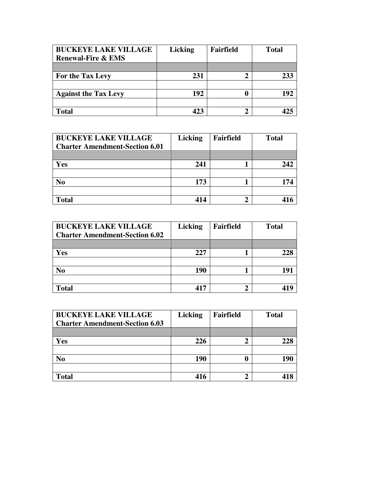| <b>BUCKEYE LAKE VILLAGE</b><br><b>Renewal-Fire &amp; EMS</b> | <b>Licking</b> | Fairfield | <b>Total</b> |
|--------------------------------------------------------------|----------------|-----------|--------------|
|                                                              |                |           |              |
| For the Tax Levy                                             | 231            |           | 233          |
|                                                              |                |           |              |
| <b>Against the Tax Levy</b>                                  | 192            |           | 192          |
|                                                              |                |           |              |
| <b>Total</b>                                                 | 122            |           |              |

| <b>BUCKEYE LAKE VILLAGE</b><br><b>Charter Amendment-Section 6.01</b> | <b>Licking</b> | <b>Fairfield</b> | <b>Total</b> |
|----------------------------------------------------------------------|----------------|------------------|--------------|
|                                                                      |                |                  |              |
| <b>Yes</b>                                                           | 241            |                  | 242          |
|                                                                      |                |                  |              |
| No                                                                   | 173            |                  | 174          |
|                                                                      |                |                  |              |
| <b>Total</b>                                                         | 414            |                  |              |

| <b>BUCKEYE LAKE VILLAGE</b><br><b>Charter Amendment-Section 6.02</b> | <b>Licking</b> | Fairfield | <b>Total</b> |
|----------------------------------------------------------------------|----------------|-----------|--------------|
|                                                                      |                |           |              |
| Yes                                                                  | 227            |           |              |
|                                                                      |                |           |              |
| N <sub>0</sub>                                                       | 190            |           | 191          |
|                                                                      |                |           |              |
| <b>Total</b>                                                         | 417            |           |              |

| <b>BUCKEYE LAKE VILLAGE</b>           | <b>Licking</b> | <b>Fairfield</b> | <b>Total</b> |
|---------------------------------------|----------------|------------------|--------------|
| <b>Charter Amendment-Section 6.03</b> |                |                  |              |
|                                       |                |                  |              |
| Yes                                   | 226            |                  |              |
|                                       |                |                  |              |
| N <sub>0</sub>                        | 190            |                  | 190          |
|                                       |                |                  |              |
| <b>Total</b>                          | 416            |                  |              |